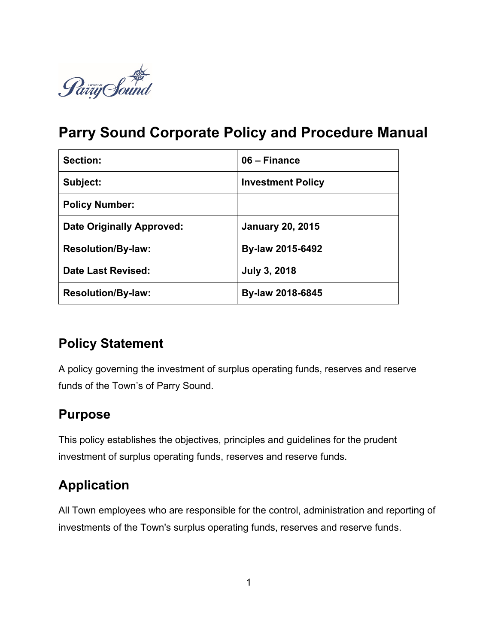

# **Parry Sound Corporate Policy and Procedure Manual**

| Section:                         | 06 – Finance             |
|----------------------------------|--------------------------|
| Subject:                         | <b>Investment Policy</b> |
| <b>Policy Number:</b>            |                          |
| <b>Date Originally Approved:</b> | <b>January 20, 2015</b>  |
| <b>Resolution/By-law:</b>        | By-law 2015-6492         |
| Date Last Revised:               | <b>July 3, 2018</b>      |
| <b>Resolution/By-law:</b>        | By-law 2018-6845         |

## **Policy Statement**

A policy governing the investment of surplus operating funds, reserves and reserve funds of the Town's of Parry Sound.

### **Purpose**

This policy establishes the objectives, principles and guidelines for the prudent investment of surplus operating funds, reserves and reserve funds.

# **Application**

All Town employees who are responsible for the control, administration and reporting of investments of the Town's surplus operating funds, reserves and reserve funds.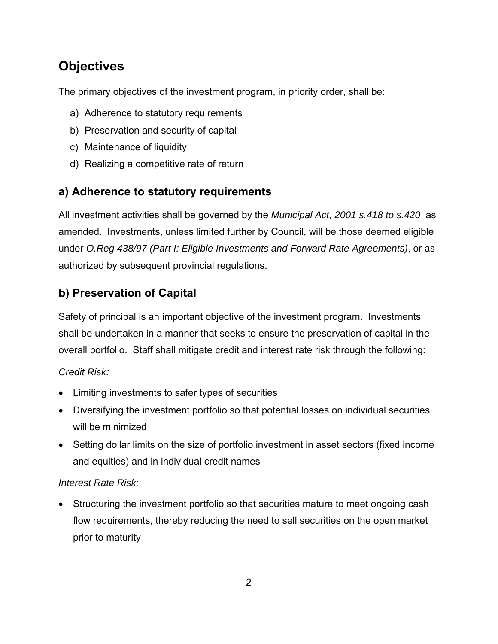## **Objectives**

The primary objectives of the investment program, in priority order, shall be:

- a) Adherence to statutory requirements
- b) Preservation and security of capital
- c) Maintenance of liquidity
- d) Realizing a competitive rate of return

### **a) Adherence to statutory requirements**

All investment activities shall be governed by the *Municipal Act, 2001 s.418 to s.420* as amended. Investments, unless limited further by Council, will be those deemed eligible under *O.Reg 438/97 (Part I: Eligible Investments and Forward Rate Agreements)*, or as authorized by subsequent provincial regulations.

### **b) Preservation of Capital**

Safety of principal is an important objective of the investment program. Investments shall be undertaken in a manner that seeks to ensure the preservation of capital in the overall portfolio. Staff shall mitigate credit and interest rate risk through the following:

#### *Credit Risk:*

- Limiting investments to safer types of securities
- Diversifying the investment portfolio so that potential losses on individual securities will be minimized
- Setting dollar limits on the size of portfolio investment in asset sectors (fixed income and equities) and in individual credit names

#### *Interest Rate Risk:*

 Structuring the investment portfolio so that securities mature to meet ongoing cash flow requirements, thereby reducing the need to sell securities on the open market prior to maturity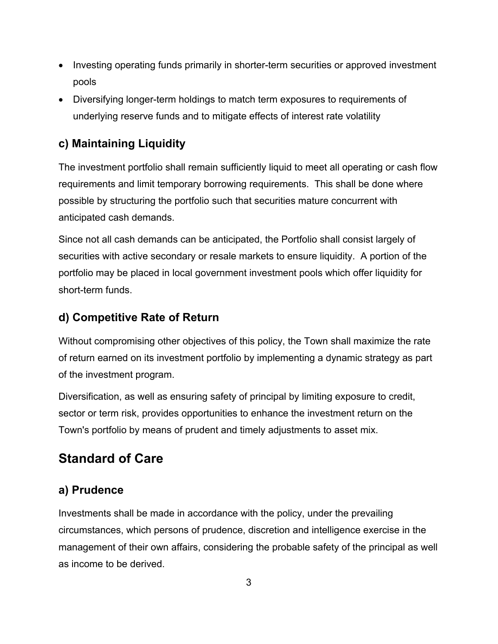- Investing operating funds primarily in shorter-term securities or approved investment pools
- Diversifying longer-term holdings to match term exposures to requirements of underlying reserve funds and to mitigate effects of interest rate volatility

### **c) Maintaining Liquidity**

The investment portfolio shall remain sufficiently liquid to meet all operating or cash flow requirements and limit temporary borrowing requirements. This shall be done where possible by structuring the portfolio such that securities mature concurrent with anticipated cash demands.

Since not all cash demands can be anticipated, the Portfolio shall consist largely of securities with active secondary or resale markets to ensure liquidity. A portion of the portfolio may be placed in local government investment pools which offer liquidity for short-term funds.

### **d) Competitive Rate of Return**

Without compromising other objectives of this policy, the Town shall maximize the rate of return earned on its investment portfolio by implementing a dynamic strategy as part of the investment program.

Diversification, as well as ensuring safety of principal by limiting exposure to credit, sector or term risk, provides opportunities to enhance the investment return on the Town's portfolio by means of prudent and timely adjustments to asset mix.

### **Standard of Care**

### **a) Prudence**

Investments shall be made in accordance with the policy, under the prevailing circumstances, which persons of prudence, discretion and intelligence exercise in the management of their own affairs, considering the probable safety of the principal as well as income to be derived.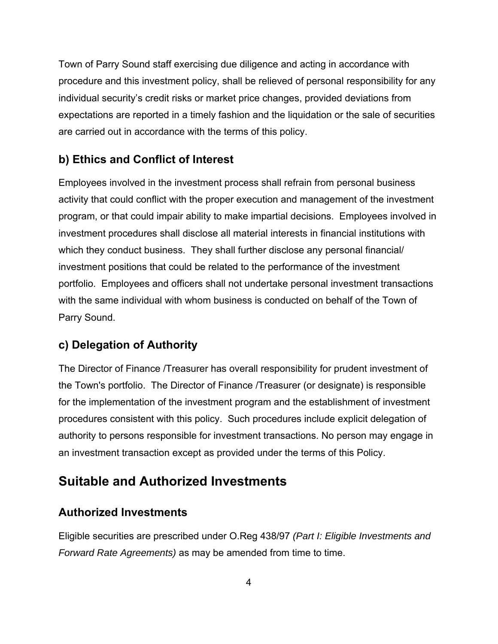Town of Parry Sound staff exercising due diligence and acting in accordance with procedure and this investment policy, shall be relieved of personal responsibility for any individual security's credit risks or market price changes, provided deviations from expectations are reported in a timely fashion and the liquidation or the sale of securities are carried out in accordance with the terms of this policy.

### **b) Ethics and Conflict of Interest**

Employees involved in the investment process shall refrain from personal business activity that could conflict with the proper execution and management of the investment program, or that could impair ability to make impartial decisions. Employees involved in investment procedures shall disclose all material interests in financial institutions with which they conduct business. They shall further disclose any personal financial/ investment positions that could be related to the performance of the investment portfolio. Employees and officers shall not undertake personal investment transactions with the same individual with whom business is conducted on behalf of the Town of Parry Sound.

### **c) Delegation of Authority**

The Director of Finance /Treasurer has overall responsibility for prudent investment of the Town's portfolio. The Director of Finance /Treasurer (or designate) is responsible for the implementation of the investment program and the establishment of investment procedures consistent with this policy. Such procedures include explicit delegation of authority to persons responsible for investment transactions. No person may engage in an investment transaction except as provided under the terms of this Policy.

### **Suitable and Authorized Investments**

### **Authorized Investments**

Eligible securities are prescribed under O.Reg 438/97 *(Part I: Eligible Investments and Forward Rate Agreements*) as may be amended from time to time.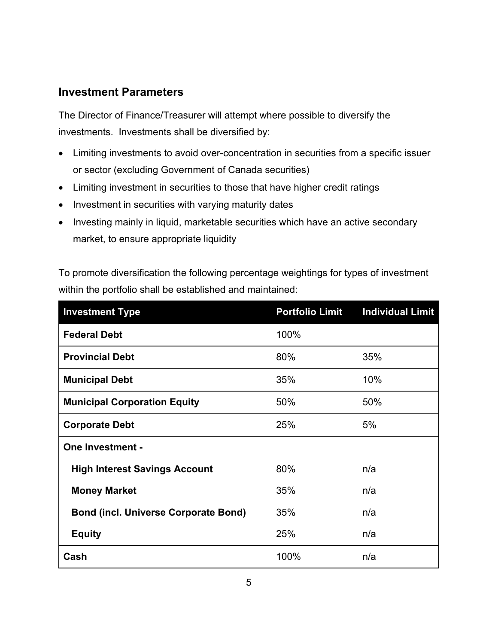#### **Investment Parameters**

The Director of Finance/Treasurer will attempt where possible to diversify the investments. Investments shall be diversified by:

- Limiting investments to avoid over-concentration in securities from a specific issuer or sector (excluding Government of Canada securities)
- Limiting investment in securities to those that have higher credit ratings
- Investment in securities with varying maturity dates
- Investing mainly in liquid, marketable securities which have an active secondary market, to ensure appropriate liquidity

To promote diversification the following percentage weightings for types of investment within the portfolio shall be established and maintained:

| <b>Investment Type</b>                      | <b>Portfolio Limit</b> | <b>Individual Limit</b> |
|---------------------------------------------|------------------------|-------------------------|
| <b>Federal Debt</b>                         | 100%                   |                         |
| <b>Provincial Debt</b>                      | 80%                    | 35%                     |
| <b>Municipal Debt</b>                       | 35%                    | 10%                     |
| <b>Municipal Corporation Equity</b>         | 50%                    | 50%                     |
| <b>Corporate Debt</b>                       | 25%                    | 5%                      |
| <b>One Investment -</b>                     |                        |                         |
| <b>High Interest Savings Account</b>        | 80%                    | n/a                     |
| <b>Money Market</b>                         | 35%                    | n/a                     |
| <b>Bond (incl. Universe Corporate Bond)</b> | 35%                    | n/a                     |
| <b>Equity</b>                               | 25%                    | n/a                     |
| Cash                                        | 100%                   | n/a                     |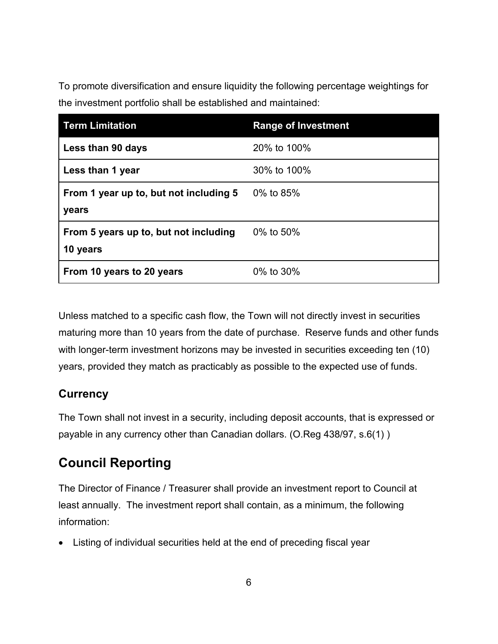To promote diversification and ensure liquidity the following percentage weightings for the investment portfolio shall be established and maintained:

| <b>Term Limitation</b>                            | <b>Range of Investment</b> |
|---------------------------------------------------|----------------------------|
| Less than 90 days                                 | 20% to 100%                |
| Less than 1 year                                  | 30% to 100%                |
| From 1 year up to, but not including 5<br>years   | 0% to 85%                  |
| From 5 years up to, but not including<br>10 years | 0% to 50%                  |
| From 10 years to 20 years                         | 0% to 30%                  |

Unless matched to a specific cash flow, the Town will not directly invest in securities maturing more than 10 years from the date of purchase. Reserve funds and other funds with longer-term investment horizons may be invested in securities exceeding ten (10) years, provided they match as practicably as possible to the expected use of funds.

### **Currency**

The Town shall not invest in a security, including deposit accounts, that is expressed or payable in any currency other than Canadian dollars. (O.Reg 438/97, s.6(1) )

## **Council Reporting**

The Director of Finance / Treasurer shall provide an investment report to Council at least annually. The investment report shall contain, as a minimum, the following information:

Listing of individual securities held at the end of preceding fiscal year